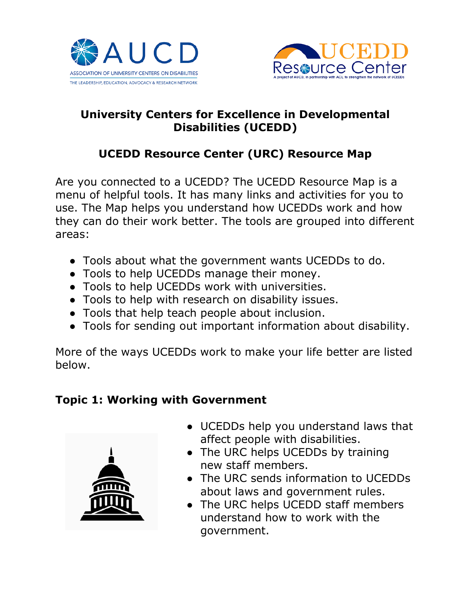



## **University Centers for Excellence in Developmental Disabilities (UCEDD)**

# **UCEDD Resource Center (URC) Resource Map**

Are you connected to a UCEDD? The UCEDD Resource Map is a menu of helpful tools. It has many links and activities for you to use. The Map helps you understand how UCEDDs work and how they can do their work better. The tools are grouped into different areas:

- Tools about what the government wants UCEDDs to do.
- Tools to help UCEDDs manage their money.
- Tools to help UCEDDs work with universities.
- Tools to help with research on disability issues.
- Tools that help teach people about inclusion.
- Tools for sending out important information about disability.

More of the ways UCEDDs work to make your life better are listed below.

#### **Topic 1: Working with Government**



- UCEDDs help you understand laws that affect people with disabilities.
- The URC helps UCEDDs by training new staff members.
- The URC sends information to UCEDDs about laws and government rules.
- The URC helps UCEDD staff members understand how to work with the government.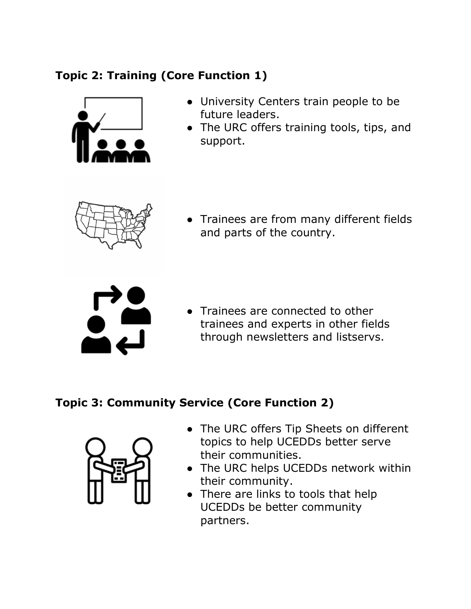# **Topic 2: Training (Core Function 1)**



- University Centers train people to be future leaders.
- The URC offers training tools, tips, and support.



● Trainees are from many different fields and parts of the country.



• Trainees are connected to other trainees and experts in other fields through newsletters and listservs.

# **Topic 3: Community Service (Core Function 2)**



- The URC offers Tip Sheets on different topics to help UCEDDs better serve their communities.
- The URC helps UCEDDs network within their community.
- There are links to tools that help UCEDDs be better community partners.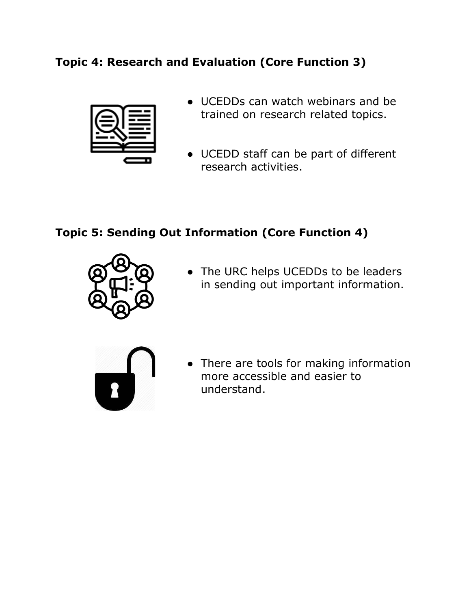## **Topic 4: Research and Evaluation (Core Function 3)**



- UCEDDs can watch webinars and be trained on research related topics.
- UCEDD staff can be part of different research activities.

## **Topic 5: Sending Out Information (Core Function 4)**



• The URC helps UCEDDs to be leaders in sending out important information.



• There are tools for making information more accessible and easier to understand.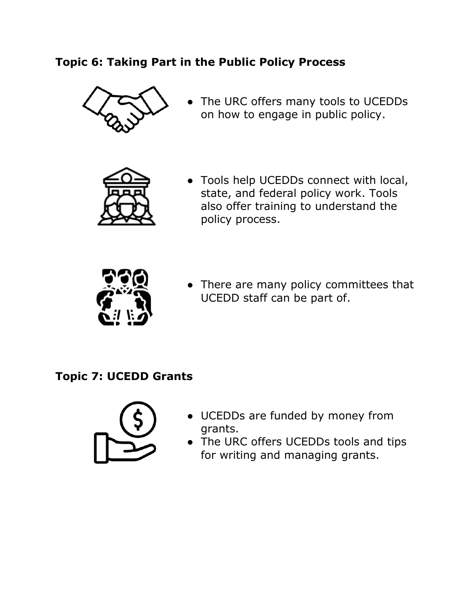### **Topic 6: Taking Part in the Public Policy Process**



● The URC offers many tools to UCEDDs on how to engage in public policy.



● Tools help UCEDDs connect with local, state, and federal policy work. Tools also offer training to understand the policy process.



• There are many policy committees that UCEDD staff can be part of.

#### **Topic 7: UCEDD Grants**



- UCEDDs are funded by money from grants.
- The URC offers UCEDDs tools and tips for writing and managing grants.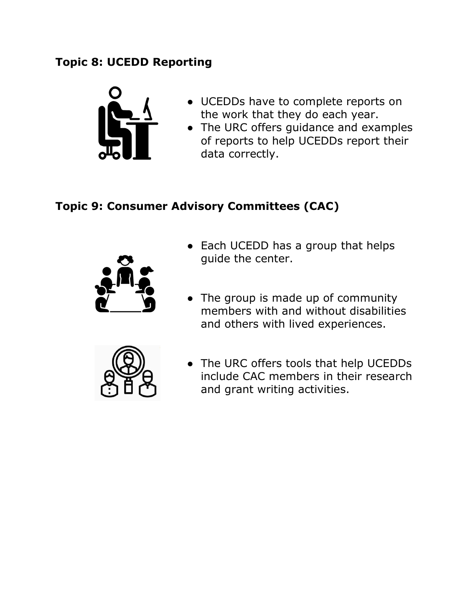## **Topic 8: UCEDD Reporting**



- UCEDDs have to complete reports on the work that they do each year.
- The URC offers guidance and examples of reports to help UCEDDs report their data correctly.

### **Topic 9: Consumer Advisory Committees (CAC)**



- Each UCEDD has a group that helps guide the center.
- The group is made up of community members with and without disabilities and others with lived experiences.



● The URC offers tools that help UCEDDs include CAC members in their research and grant writing activities.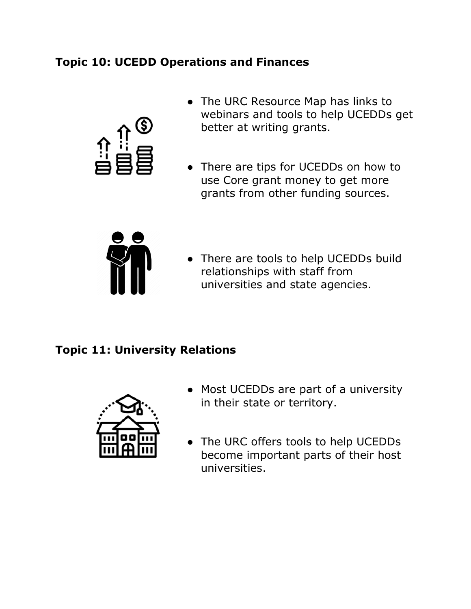### **Topic 10: UCEDD Operations and Finances**



- The URC Resource Map has links to webinars and tools to help UCEDDs get better at writing grants.
- There are tips for UCEDDs on how to use Core grant money to get more grants from other funding sources.



● There are tools to help UCEDDs build relationships with staff from universities and state agencies.

#### **Topic 11: University Relations**



- Most UCEDDs are part of a university in their state or territory.
- The URC offers tools to help UCEDDs become important parts of their host universities.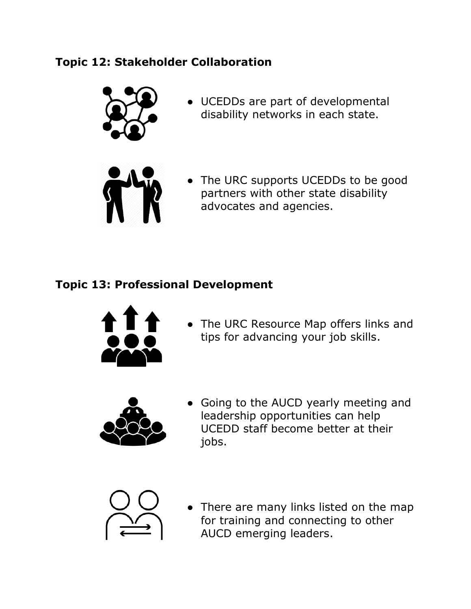## **Topic 12: Stakeholder Collaboration**



● UCEDDs are part of developmental disability networks in each state.



• The URC supports UCEDDs to be good partners with other state disability advocates and agencies.

# **Topic 13: Professional Development**



● The URC Resource Map offers links and tips for advancing your job skills.



● Going to the AUCD yearly meeting and leadership opportunities can help UCEDD staff become better at their jobs.



• There are many links listed on the map for training and connecting to other AUCD emerging leaders.